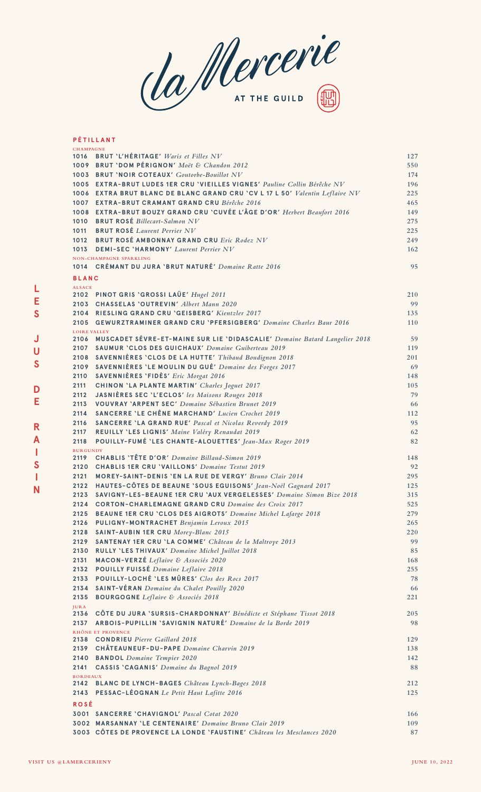da Mercerie

## **P É TILLANT**

**L E S**

**J U S**

**D E**

**R A I S I N**

| <b>CHAMPAGNE</b>    |                                                                                 |     |
|---------------------|---------------------------------------------------------------------------------|-----|
|                     | 1016 BRUT 'L'HÉRITAGE' Waris et Filles NV                                       | 127 |
|                     | 1009 BRUT 'DOM PÉRIGNON' Moët & Chandon 2012                                    | 550 |
|                     | 1003 BRUT 'NOIR COTEAUX' Goutorbe-Bouillot NV                                   | 174 |
|                     | 1005 EXTRA-BRUT LUDES 1ER CRU 'VIEILLES VIGNES' Pauline Collin Bérêche NV       | 196 |
|                     | 1006 EXTRA BRUT BLANC DE BLANC GRAND CRU 'CV L 17 L 50' Valentin Leflaive NV    | 225 |
|                     | 1007 EXTRA-BRUT CRAMANT GRAND CRU Bérêche 2016                                  | 465 |
|                     | 1008 EXTRA-BRUT BOUZY GRAND CRU 'CUVÉE L'ÂGE D'OR' Herbert Beaufort 2016        | 149 |
|                     | 1010 BRUT ROSÉ Billecart-Salmon NV                                              | 275 |
|                     | 1011 BRUT ROSÉ Laurent Perrier NV                                               | 225 |
|                     | 1012 BRUT ROSÉ AMBONNAY GRAND CRU Eric Rodez NV                                 | 249 |
|                     | 1013 DEMI-SEC 'HARMONY' Laurent Perrier NV                                      | 162 |
|                     | NON-CHAMPAGNE SPARKLING                                                         |     |
|                     | 1014 CRÉMANT DU JURA 'BRUT NATURÉ' Domaine Ratte 2016                           | 95  |
| <b>BLANC</b>        |                                                                                 |     |
| <b>ALSACE</b>       |                                                                                 |     |
|                     | 2102 PINOT GRIS 'GROSSI LAÜE' Hugel 2011                                        | 210 |
|                     | 2103 CHASSELAS 'OUTREVIN' Albert Mann 2020                                      | 99  |
|                     | 2104 RIESLING GRAND CRU 'GEISBERG' Kientzler 2017                               | 135 |
|                     | 2105 GEWURZTRAMINER GRAND CRU 'PFERSIGBERG' Domaine Charles Baur 2016           | 110 |
| <b>LOIRE VALLEY</b> | 2106 MUSCADET SÉVRE-ET-MAINE SUR LIE 'DIDASCALIE' Domaine Batard Langelier 2018 | 59  |
|                     | 2107 SAUMUR 'CLOS DES GUICHAUX' Domaine Guiberteau 2019                         | 119 |
|                     | 2108 SAVENNIÈRES 'CLOS DE LA HUTTE' Thibaud Boudignon 2018                      | 201 |
|                     | 2109 SAVENNIÈRES 'LE MOULIN DU GUÉ' Domaine des Forges 2017                     | 69  |
|                     | 2110 SAVENNIÈRES 'FIDÈS' Eric Morgat 2016                                       | 148 |
|                     |                                                                                 |     |
| 2111                | <b>CHINON 'LA PLANTE MARTIN' Charles Joguet 2017</b>                            | 105 |
| 2112                | JASNIÈRES SEC 'L'ECLOS' les Maisons Rouges 2018                                 | 79  |
| 2113                | <b>VOUVRAY 'ARPENT SEC' Domaine Sébastien Brunet 2019</b>                       | 66  |
| 2114                | <b>SANCERRE 'LE CHÊNE MARCHAND' Lucien Crochet 2019</b>                         | 112 |
| 2116                | <b>SANCERRE 'LA GRAND RUE' Pascal et Nicolas Reverdy 2019</b>                   | 95  |
| 2117                | REUILLY 'LES LIGNIS' Maine Valéry Renaudat 2019                                 | 62  |
| 2118                | POUILLY-FUMÉ 'LES CHANTE-ALOUETTES' Jean-Max Roger 2019                         | 82  |
| <b>BURGUNDY</b>     | 2119 CHABLIS 'TÊTE D'OR' Domaine Billaud-Simon 2019                             | 148 |
|                     | 2120 CHABLIS 1ER CRU 'VAILLONS' Domaine Testut 2019                             | 92  |
| 2121                | <b>MOREY-SAINT-DENIS 'EN LA RUE DE VERGY' Bruno Clair 2014</b>                  | 295 |
|                     | 2122 HAUTES-CÔTES DE BEAUNE 'SOUS EGUISONS' Jean-Noël Gagnard 2017              | 125 |
|                     | 2123 SAVIGNY-LES-BEAUNE 1ER CRU `AUX VERGELESSES' Domaine Simon Bize 2018       | 315 |
| 2124                | <b>CORTON-CHARLEMAGNE GRAND CRU</b> Domaine des Croix 2017                      | 525 |
| 2125                | <b>BEAUNE 1ER CRU 'CLOS DES AIGROTS' Domaine Michel Lafarge 2018</b>            | 279 |
| 2126                | PULIGNY-MONTRACHET Benjamin Leroux 2015                                         | 265 |
| 2128                | SAINT-AUBIN 1ER CRU Morey-Blanc 2015                                            | 220 |
| 2129                | SANTENAY 1ER CRU 'LA COMME' Château de la Maltroye 2013                         | 99  |
| 2130                |                                                                                 |     |
|                     | RULLY 'LES THIVAUX' Domaine Michel Juillot 2018                                 | 85  |
| 2131                | MACON-VERZÉ Leflaive & Associés 2020                                            | 168 |
| 2132                | POUILLY FUISSÉ Domaine Leflaive 2018                                            | 255 |
| 2133                | POUILLY-LOCHÉ 'LES MÛRES' Clos des Rocs 2017                                    | 78  |
| 2134                | SAINT-VÉRAN Domaine du Chalet Pouilly 2020                                      | 66  |
| 2135                | <b>BOURGOGNE</b> Leflaive & Associés 2018                                       | 221 |
| <b>JURA</b>         | 2136 CÔTE DU JURA 'SURSIS-CHARDONNAY' Bénédicte et Stéphane Tissot 2018         | 205 |
|                     | 2137 ARBOIS-PUPILLIN 'SAVIGNIN NATURÉ' Domaine de la Borde 2019                 | 98  |
|                     | RHÔNE ET PROVENCE                                                               |     |
|                     | 2138 CONDRIEU Pierre Gaillard 2018                                              | 129 |
|                     | 2139 CHÂTEAUNEUF-DU-PAPE Domaine Charvin 2019                                   | 138 |
|                     | 2140 BANDOL Domaine Tempier 2020                                                | 142 |
| 2141                | CASSIS 'CAGANIS' Domaine du Bagnol 2019                                         | 88  |
| <b>BORDEAUX</b>     |                                                                                 |     |
|                     | 2142 BLANC DE LYNCH-BAGES Château Lynch-Bages 2018                              | 212 |
|                     | 2143 PESSAC-LÉOGNAN Le Petit Haut Lafitte 2016                                  | 125 |
| <b>ROSÉ</b>         |                                                                                 |     |
|                     | 3001 SANCERRE 'CHAVIGNOL' Pascal Cotat 2020                                     | 166 |
|                     | 3002 MARSANNAY 'LE CENTENAIRE' Domaine Bruno Clair 2019                         | 109 |
|                     | 3003 CÔTES DE PROVENCE LA LONDE 'FAUSTINE' Château les Mesclances 2020          | 87  |
|                     |                                                                                 |     |